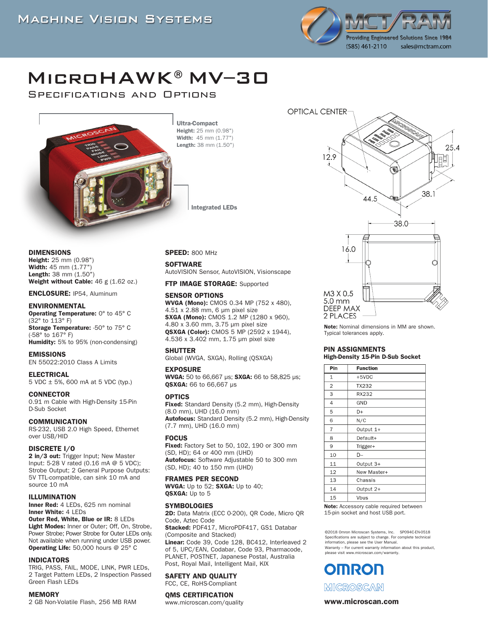

# MicroHAWK®MV–30

Specifications and Options



Ultra-Compact Height: 25 mm (0.98") Width: 45 mm (1.77") Length: 38 mm (1.50")

Integrated LEDs

DIMENSIONS

Height: 25 mm (0.98") Width: 45 mm (1.77") Length: 38 mm (1.50") Weight without Cable: 46 g (1.62 oz.)

ENCLOSURE: IP54, Aluminum

#### ENVIRONMENTAL

Operating Temperature: 0° to 45° C (32° to 113° F) Storage Temperature: -50° to 75° C (-58° to 167° F) Humidity: 5% to 95% (non-condensing)

#### EMISSIONS

EN 55022:2010 Class A Limits

#### ELECTRICAL

5 VDC ± 5%, 600 mA at 5 VDC (typ.)

#### **CONNECTOR**

0.91 m Cable with High-Density 15-Pin D-Sub Socket

#### COMMUNICATION

RS-232, USB 2.0 High Speed, Ethernet over USB/HID

#### DISCRETE I/O

2 in/3 out: Trigger Input; New Master Input: 5-28 V rated (0.16 mA @ 5 VDC); Strobe Output; 2 General Purpose Outputs: 5V TTL-compatible, can sink 10 mA and source 10 mA

#### ILLUMINATION

Inner Red: 4 LEDs, 625 nm nominal Inner White: 4 LEDs

Outer Red, White, Blue or IR: 8 LEDs Light Modes: Inner or Outer; Off, On, Strobe, Power Strobe; Power Strobe for Outer LEDs only. Not available when running under USB power. Operating Life: 50,000 hours @ 25° C

#### INDICATORS

TRIG, PASS, FAIL, MODE, LINK, PWR LEDs, 2 Target Pattern LEDs, 2 Inspection Passed Green Flash LEDs

#### **MEMORY**

2 GB Non-Volatile Flash, 256 MB RAM

#### SPEED: 800 MHz

**SOFTWARE** 

AutoVISION Sensor, AutoVISION, Visionscape

FTP IMAGE STORAGE: Supported

#### SENSOR OPTIONS

WVGA (Mono): CMOS 0.34 MP (752 x 480), 4.51 x 2.88 mm, 6 μm pixel size SXGA (Mono): CMOS 1.2 MP (1280 x 960), 4.80 x 3.60 mm, 3.75 μm pixel size QSXGA (Color): CMOS 5 MP (2592 x 1944), 4.536 x 3.402 mm, 1.75 μm pixel size

#### **SHUTTER**

Global (WVGA, SXGA), Rolling (QSXGA)

#### EXPOSURE

WVGA: 50 to 66,667 μs; SXGA: 66 to 58,825 μs; QSXGA: 66 to 66,667 μs

#### OPTICS

Fixed: Standard Density (5.2 mm), High-Density (8.0 mm), UHD (16.0 mm) Autofocus: Standard Density (5.2 mm), High-Density (7.7 mm), UHD (16.0 mm)

#### FOCUS

**Fixed:** Factory Set to 50, 102, 190 or 300 mm (SD, HD); 64 or 400 mm (UHD) Autofocus: Software Adjustable 50 to 300 mm (SD, HD); 40 to 150 mm (UHD)

#### FRAMES PER SECOND

WVGA: Up to 52; SXGA: Up to 40; QSXGA: Up to 5

#### **SYMBOLOGIES**

2D: Data Matrix (ECC 0-200), QR Code, Micro QR Code, Aztec Code Stacked: PDF417, MicroPDF417, GS1 Databar

(Composite and Stacked) Linear: Code 39, Code 128, BC412, Interleaved 2 of 5, UPC/EAN, Codabar, Code 93, Pharmacode, PLANET, POSTNET, Japanese Postal, Australia Post, Royal Mail, Intelligent Mail, KIX

#### SAFETY AND QUALITY

FCC, CE, RoHS-Compliant

#### QMS CERTIFICATION

www.microscan.com/quality



Note: Nominal dimensions in MM are shown. Typical tolerances apply.

#### PIN ASSIGNMENTS High-Density 15-Pin D-Sub Socket

| Pin            | <b>Function</b> |  |  |  |
|----------------|-----------------|--|--|--|
| 1              | $+5VDC$         |  |  |  |
| $\overline{2}$ | TX232           |  |  |  |
| 3              | RX232           |  |  |  |
| 4              | GND             |  |  |  |
| 5              | D+              |  |  |  |
| 6              | N/C             |  |  |  |
| $\overline{7}$ | Output 1+       |  |  |  |
| 8              | Default+        |  |  |  |
| 9              | Trigger+        |  |  |  |
| 10             | D-              |  |  |  |
| 11             | Output 3+       |  |  |  |
| 12             | New Master+     |  |  |  |
| 13             | Chassis         |  |  |  |
| 14             | Output 2+       |  |  |  |
| 15             | Vbus            |  |  |  |

Note: Accessory cable required between 15-pin socket and host USB port.

©2018 Omron Microscan Systems, Inc. SP094C-EN-0518 Specifications are subject to change. For complete technical information, please see the User Manual. Warranty – For current warranty information about this product, please visit www.microscan.com/warranty.

**OMRON** MICROSCAN

#### www.microscan.com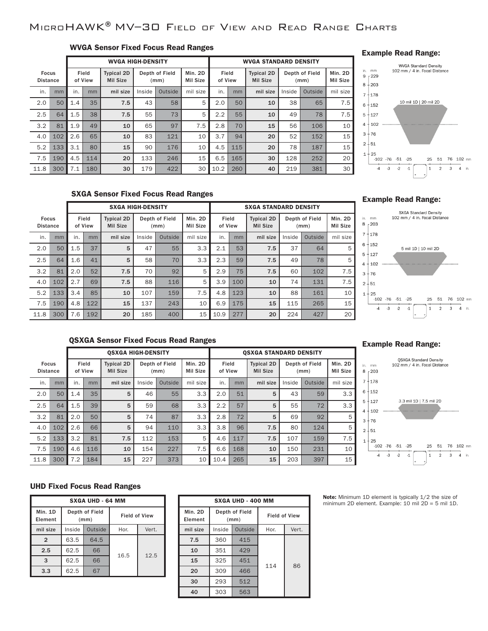# MicroHAWK®MV–30 Field of View and Read Range Charts

### WVGA Sensor Fixed Focus Read Ranges

|                                 |     |     |                  | <b>WVGA HIGH-DENSITY</b>             |        |                        |                     |                  |     | <b>WVGA STANDARD DENSITY</b>         |        |                        |                     |
|---------------------------------|-----|-----|------------------|--------------------------------------|--------|------------------------|---------------------|------------------|-----|--------------------------------------|--------|------------------------|---------------------|
| <b>Focus</b><br><b>Distance</b> |     |     | Field<br>of View | <b>Typical 2D</b><br><b>Mil Size</b> |        | Depth of Field<br>(mm) | Min. 2D<br>Mil Size | Field<br>of View |     | <b>Typical 2D</b><br><b>Mil Size</b> |        | Depth of Field<br>(mm) | Min. 2D<br>Mil Size |
| in.                             | mm  | in. | mm               | mil size                             | Inside | Outside                | mil size            | in.              | mm  | mil size                             | Inside | Outside                | mil size            |
| 2.0                             | 50  | 1.4 | 35               | 7.5                                  | 43     | 58                     | 5                   | 2.0              | 50  | 10                                   | 38     | 65                     | 7.5                 |
| 2.5                             | 64  | 1.5 | 38               | 7.5                                  | 55     | 73                     | 5                   | 2.2              | 55  | 10                                   | 49     | 78                     | 7.5                 |
| 3.2                             | 81  | 1.9 | 49               | 10                                   | 65     | 97                     | 7.5                 | 2.8              | 70  | 15                                   | 56     | 106                    | 10                  |
| 4.0                             | 102 | 2.6 | 65               | 10                                   | 83     | 121                    | 10                  | 3.7              | 94  | 20                                   | 52     | 152                    | 15                  |
| 5.2                             | 133 | 3.1 | 80               | 15                                   | 90     | 176                    | 10                  | 4.5              | 115 | 20                                   | 78     | 187                    | 15                  |
| 7.5                             | 190 | 4.5 | 114              | 20                                   | 133    | 246                    | 15                  | 6.5              | 165 | 30                                   | 128    | 252                    | 20                  |
| 11.8                            | 300 | 7.1 | 180              | 30                                   | 179    | 422                    | 30                  | 10.2             | 260 | 40                                   | 219    | 381                    | 30                  |

#### Example Read Range:



### SXGA Sensor Fixed Focus Read Ranges

|                                 |     |     |                  | <b>SXGA HIGH-DENSITY</b>             |        |                        |                            |                  |     | <b>SXGA STANDARD DENSITY</b>         |        |                        |                                   |
|---------------------------------|-----|-----|------------------|--------------------------------------|--------|------------------------|----------------------------|------------------|-----|--------------------------------------|--------|------------------------|-----------------------------------|
| <b>Focus</b><br><b>Distance</b> |     |     | Field<br>of View | <b>Typical 2D</b><br><b>Mil Size</b> |        | Depth of Field<br>(mm) | Min. 2D<br><b>Mil Size</b> | Field<br>of View |     | <b>Typical 2D</b><br><b>Mil Size</b> |        | Depth of Field<br>(mm) | <b>Min. 2D</b><br><b>Mil Size</b> |
| in.                             | mm  | in. | mm               | mil size                             | Inside | Outside                | mil size                   | in.              | mm  | mil size                             | Inside | Outside                | mil size                          |
| 2.0                             | 50  | 1.5 | 37               | 5                                    | 47     | 55                     | 3.3                        | 2.1              | 53  | 7.5                                  | 37     | 64                     | 5                                 |
| 2.5                             | 64  | 1.6 | 41               | 5                                    | 58     | 70                     | 3.3                        | 2.3              | 59  | 7.5                                  | 49     | 78                     | 5                                 |
| 3.2                             | 81  | 2.0 | 52               | 7.5                                  | 70     | 92                     | 5                          | 2.9              | 75  | 7.5                                  | 60     | 102                    | 7.5                               |
| 4.0                             | 102 | 2.7 | 69               | 7.5                                  | 88     | 116                    | 5                          | 3.9              | 100 | 10                                   | 74     | 131                    | 7.5                               |
| 5.2                             | 133 | 3.4 | 85               | 10                                   | 107    | 159                    | 7.5                        | 4.8              | 123 | 10                                   | 88     | 161                    | 10                                |
| 7.5                             | 190 | 4.8 | 122              | 15                                   | 137    | 243                    | 10                         | 6.9              | 175 | 15                                   | 115    | 265                    | 15                                |
| 11.8                            | 300 | 7.6 | 192              | 20                                   | 185    | 400                    | 15                         | 10.9             | 277 | 20                                   | 224    | 427                    | 20                                |

#### Example Read Range:



# QSXGA Sensor Fixed Focus Read Ranges

|                                 |     |     |                  | <b>OSXGA HIGH-DENSITY</b>            |        |                        |                            |                  |     | <b>OSXGA STANDARD DENSITY</b>        |        |                        |                            |
|---------------------------------|-----|-----|------------------|--------------------------------------|--------|------------------------|----------------------------|------------------|-----|--------------------------------------|--------|------------------------|----------------------------|
| <b>Focus</b><br><b>Distance</b> |     |     | Field<br>of View | <b>Typical 2D</b><br><b>Mil Size</b> |        | Depth of Field<br>(mm) | Min. 2D<br><b>Mil Size</b> | Field<br>of View |     | <b>Typical 2D</b><br><b>Mil Size</b> |        | Depth of Field<br>(mm) | Min. 2D<br><b>Mil Size</b> |
| in.                             | mm  | in. | mm               | mil size                             | Inside | Outside                | mil size                   | in.              | mm  | mil size                             | Inside | Outside                | mil size                   |
| 2.0                             | 50  | 1.4 | 35               | 5                                    | 46     | 55                     | 3.3                        | 2.0              | 51  | 5                                    | 43     | 59                     | 3.3                        |
| 2.5                             | 64  | 1.5 | 39               | 5                                    | 59     | 68                     | 3.3                        | 2.2              | 57  | 5                                    | 55     | 72                     | 3.3                        |
| 3.2                             | 81  | 2.0 | 50               | 5                                    | 74     | 87                     | 3.3                        | 2.8              | 72  | 5                                    | 69     | 92                     | 5                          |
| 4.0                             | 102 | 2.6 | 66               | 5                                    | 94     | 110                    | 3.3                        | 3.8              | 96  | 7.5                                  | 80     | 124                    | 5                          |
| 5.2                             | 133 | 3.2 | 81               | 7.5                                  | 112    | 153                    | 5                          | 4.6              | 117 | 7.5                                  | 107    | 159                    | 7.5                        |
| 7.5                             | 190 | 4.6 | 116              | 10                                   | 154    | 227                    | 7.5                        | 6.6              | 168 | 10                                   | 150    | 231                    | 10                         |
| 11.8                            | 300 | 7.2 | 184              | 15                                   | 227    | 373                    | 10                         | 10.4             | 265 | 15                                   | 203    | 397                    | 15                         |

#### Example Read Range:



#### UHD Fixed Focus Read Ranges

| <b>SXGA UHD - 64 MM</b>   |        |                        |                      |       |  |  |  |  |
|---------------------------|--------|------------------------|----------------------|-------|--|--|--|--|
| <b>Min. 1D</b><br>Element |        | Depth of Field<br>(mm) | <b>Field of View</b> |       |  |  |  |  |
| mil size                  | Inside | Outside                | Hor.                 | Vert. |  |  |  |  |
| $\overline{2}$            | 63.5   | 64.5                   |                      | 12.5  |  |  |  |  |
| 2.5                       | 62.5   | 66                     |                      |       |  |  |  |  |
| 3                         | 62.5   | 66                     | 16.5                 |       |  |  |  |  |
| 3.3                       | 62.5   |                        |                      |       |  |  |  |  |

| <b>SXGA UHD - 400 MM</b>  |                        |         |                      |       |  |  |  |  |
|---------------------------|------------------------|---------|----------------------|-------|--|--|--|--|
| <b>Min. 2D</b><br>Element | Depth of Field<br>(mm) |         | <b>Field of View</b> |       |  |  |  |  |
| mil size                  | Inside                 | Outside | Hor.                 | Vert. |  |  |  |  |
| 7.5                       | 360                    | 415     |                      |       |  |  |  |  |
| 10                        | 351                    | 429     |                      |       |  |  |  |  |
| 15                        | 325                    | 451     | 114                  | 86    |  |  |  |  |
| 20                        | 309                    | 466     |                      |       |  |  |  |  |
| 30                        | 293                    | 512     |                      |       |  |  |  |  |
| 40                        | 303                    | 563     |                      |       |  |  |  |  |

Note: Minimum 1D element is typically 1/2 the size of minimum 2D element. Example: 10 mil 2D = 5 mil 1D.